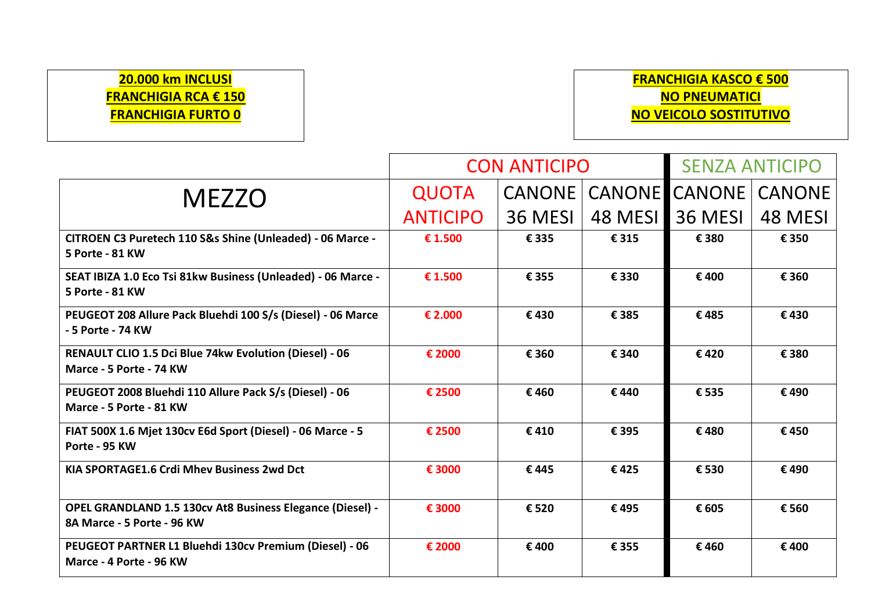## **20.000 km INCLUSI FRANCHIGIA RCA € 150 FRANCHIGIA FURTO 0**

## **FRANCHIGIA KASCO € 500 NO PNEUMATICI NO VEICOLO SOSTITUTIVO**

|                                                                                         | <b>CON ANTICIPO</b> |               |               | <b>SENZA ANTICIPO</b> |               |
|-----------------------------------------------------------------------------------------|---------------------|---------------|---------------|-----------------------|---------------|
| <b>MEZZO</b>                                                                            | <b>QUOTA</b>        | <b>CANONE</b> | <b>CANONE</b> | <b>CANONE</b>         | <b>CANONE</b> |
|                                                                                         | <b>ANTICIPO</b>     | 36 MESI       | 48 MESI       | 36 MESI               | 48 MESI       |
| CITROEN C3 Puretech 110 S&s Shine (Unleaded) - 06 Marce -<br>5 Porte - 81 KW            | € 1.500             | € 335         | € 315         | € 380                 | € 350         |
| SEAT IBIZA 1.0 Eco Tsi 81kw Business (Unleaded) - 06 Marce -<br>5 Porte - 81 KW         | € 1.500             | € 355         | € 330         | €400                  | € 360         |
| PEUGEOT 208 Allure Pack Bluehdi 100 S/s (Diesel) - 06 Marce<br>- 5 Porte - 74 KW        | € 2.000             | €430          | € 385         | €485                  | €430          |
| RENAULT CLIO 1.5 Dci Blue 74kw Evolution (Diesel) - 06<br>Marce - 5 Porte - 74 KW       | € 2000              | € 360         | € 340         | €420                  | € 380         |
| PEUGEOT 2008 Bluehdi 110 Allure Pack S/s (Diesel) - 06<br>Marce - 5 Porte - 81 KW       | € 2500              | €460          | €440          | € 535                 | €490          |
| FIAT 500X 1.6 Mjet 130cv E6d Sport (Diesel) - 06 Marce - 5<br>Porte - 95 KW             | € 2500              | €410          | € 395         | €480                  | €450          |
| KIA SPORTAGE1.6 Crdi Mhev Business 2wd Dct                                              | € 3000              | €445          | €425          | € 530                 | €490          |
| OPEL GRANDLAND 1.5 130cv At8 Business Elegance (Diesel) -<br>8A Marce - 5 Porte - 96 KW | € 3000              | € 520         | €495          | € 605                 | € 560         |
| PEUGEOT PARTNER L1 Bluehdi 130cv Premium (Diesel) - 06<br>Marce - 4 Porte - 96 KW       | € 2000              | € 400         | € 355         | €460                  | €400          |